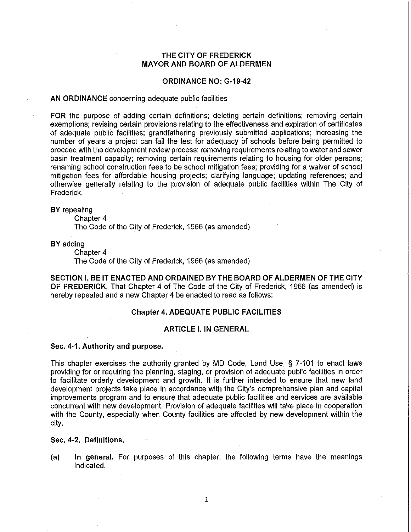# **THE CITY OF FREDERICK MAYOR AND BOARD OF ALDERMEN**

#### **ORDINANCE NO: G-19-42**

#### **AN ORDINANCE** concerning adequate public facilities

**FOR** the purpose of adding certain definitions; deleting certain definitions; removing certain exemptions; revising certain provisions relating to the effectiveness and expiration of certificates of adequate public facilities; grandfathering previously submitted applications; increasing the number of years a project can fail the test for adequacy of schools before being permitted to proceed with the development review process; removing requirements relating to water and sewer basin treatment capacity; removing certain requirements relating to housing for older persons; renaming school construction fees to be school mitigation fees; providing for a waiver of school mitigation fees for affordable housing projects; clarifying language; updating references; and otherwise generally relating to the provision of adequate public facilities within The City of Frederick.

#### **BY** repealing

Chapter 4

The Code of the City of Frederick, 1966 (as amended)

**BY** adding

Chapter 4

The Code of the City of Frederick, 1966 (as amended)

**SECTION I. BE IT ENACTED AND ORDAINED BY THE BOARD OF ALDERMEN OF THE CITY OF FREDERICK,** That Chapter 4 of The Code of the City of Frederick, 1966 (as amended) is hereby repealed and a new Chapter 4 be enacted to read as follows:

#### **Chapter 4. ADEQUATE PUBLIC FACILITIES**

#### **ARTICLE I. IN GENERAL**

# **Sec. 4-1. Authority and purpose.**

This chapter exercises the authority granted by MD Code, Land Use, § 7-101 to enact laws providing for or requiring the planning, staging, or provision of adequate public facilities in order to facilitate orderly development and growth. It is further intended to ensure that new land development projects take place in accordance with the City's comprehensive plan and capital improvements program and to ensure that adequate public facilities and services are available concurrent with new development. Provision of adequate facilities will take place in cooperation with the County, especially when County facilities are affected by new development within the city.

## **Sec. 4-2. Definitions.**

**(a) In general.** For purposes of this chapter, the following terms have the meanings indicated.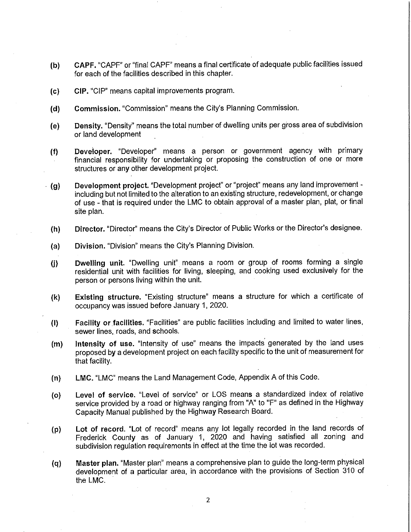- **(b) CAPF.** "CAPF" or "final CAPF" means a final certificate of adequate public facilities issued for each of the facilities described in this chapter.
- **(c) CIP.** "CIP" means capital improvements program.
- **(d) Commission.** "Commission" means the City's Planning Commission.
- **(e) Density.** "Density" means the total number of dwelling units per gross area of subdivision or land development
- **(f) Deveioper.** "Developer" means a person or government agency with primary financial responsibility for undertaking or proposing the construction of one or more structures or any other development project.
- **(g) Development project.** "Development project" or "project" means any land improvement including but not limited to the alteration to an existing structure, redevelopment, or change of use - that is required under the LMC to obtain approval of a master plan, plat, or final site plan.
	- **(h) Director.** "Director" means the City's Director of Public Works or the Director's designee.
	- **(a) Division.** "Division" means the City's Planning Division.
	- **(j) Dwelling unit.** "Dwelling unit" means a room or group of rooms forming a single residential unit with facilities for living, sleeping, and cooking used exclusively for the person or persons living within the unit.
	- **(k) Existing structure.** "Existing structure" means a structure for which a certificate of occupancy was issued before January 1, 2020.
	- **(I) Facility or facilities.** "Facilities" are public facilities including and limited to water lines, sewer lines, roads, and schools.
	- **(m) Intensity of use.** "Intensity of use" means the impacts generated by the land uses proposed by a development project on each facility specific to the unit of measurement for that facility.
	- **(n) LMC.** "LMC" means the Land Management Code, Appendix A of this Code.
	- ( **o) Level of service.** "Level of service" or LOS means a standardized index of relative service provided by a road or highway ranging from "A" to "F" as defined in the Highway Capacity Manual published by the Highway Research Board.
	- **(p) Lot of record.** "Lot of record" means any lot legally recorded in the land records of Frederick County as of January 1, 2020 and having satisfied all zoning and subdivision regulation requirements in effect at the time the lot was recorded.
	- **(q) Master plan.** "Master plan" means a comprehensive plan to guide the long-term physical development of a particular area, in accordance with the provisions of Section 310 of<br>the LMC.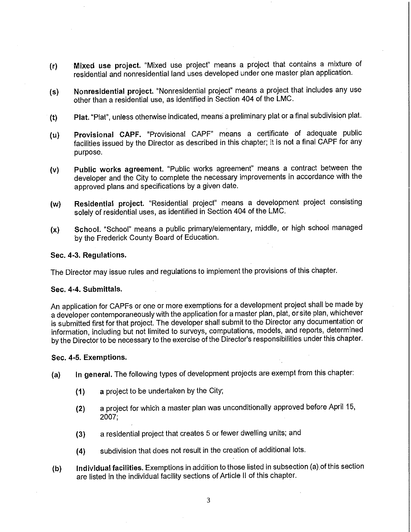- **(r) Mixed use project.** "Mixed use project" means a project that contains a mixture of residential and nonresidential land uses developed under one master plan application.
- **(s) Nonresidential project.** "Nonresidential project" means a project that includes any use other than a residential use, as identified in Section 404 of the LMC.
- **(t) Plat.** "Plat", unless otherwise indicated, means a preliminary plat or a final subdivision plat.
- (u) **Provisional CAPF.** "Provisional CAPF" means a certificate of adequate public facilities issued by the Director as described in this chapter; it is not a final CAPF for any purpose.
- **(v) Public works agreement.** "Public works agreement" means a contract between the developer and the City to complete the necessary improvements in accordance with the approved plans and specifications by a given date.
- **(w) Residential project.** "Residential project" means a development project consisting solely of residential uses, as identified in Section 404 of the LMC.
- **{x) School.** "School" means a public primary/elementary, middle, or high school managed by the Frederick County Board of Education.

## **Sec. 4-3. Regulations.**

The Director may issue rules and regulations to implement the provisions of this chapter.

#### **Sec. 4-4. Submittals.**

An application for CAPFs or one or more exemptions for a development project shall be made by a developer contemporaneously with the application for a master plan, plat, or site plan, whichever is submitted first for that project. The developer shall submit to the Director any documentation or information, including but not limited to surveys, computations, models, and reports, determined by the Director to be necessary to the exercise of the Director's responsibilities under this chapter.

#### **Sec. 4-5. Exemptions.**

- **{a) In general.** The following types of development projects are exempt from this chapter:
	- **(1)** a project to be undertaken by the City;
	- **(2)** a project for which a master plan was unconditionally approved before April 15, 2007;
	- **(3)** a residential project that creates 5 or fewer dwelling units; and
	- **(4)** subdivision that does not result in the creation of additional lots.
- **(b) Individual facilities.** Exemptions in addition to those listed in subsection (a) of this section are listed in the individual facility sections of Article II of this chapter.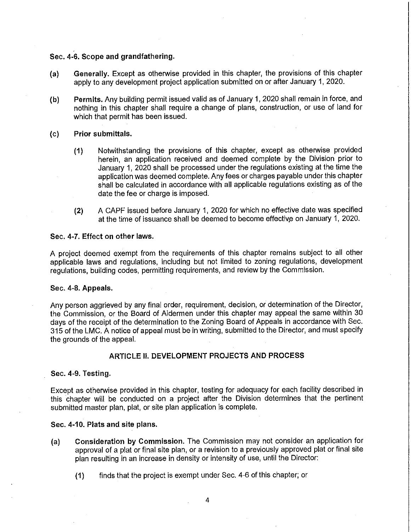#### **Sec. 4-6. Scope and grandfathering.**

- **(a) Generally.** Except as otherwise provided in this chapter, the provisions of this chapter apply to any development project application submitted on or after January 1, 2020.
- (b) **Permits.** Any building permit issued valid as of January 1, 2020 shall remain in force, and nothing in this chapter shall require a change of plans, construction, or use of land for which that permit has been issued.

#### **(c) Prior submittals.**

- **(1)** Notwithstanding the provisions of this chapter, except as otherwise provided herein, an application received and deemed complete by the Division prior to January 1, 2020 shall be processed under the regulations existing at the time the application was deemed complete. Any fees or charges payable under this chapter shall be calculated in accordance with all applicable regulations existing as of the date the fee or charge is imposed.
- **(2)** A CAPF issued before January 1, 2020 for which no effective date was specified at the time of issuance shall be deemed to become effective on January 1, 2020.

#### **Sec. 4-7. Effect on other laws.**

A project deemed exempt from the requirements of this chapter remains subject to all other applicable laws and regulations, including but not limited to zoning regulations, development regulations, building codes, permitting requirements, and review by the Commission.

#### **Sec. 4-8. Appeals.**

Any person aggrieved by any final order, requirement, decision, or determination of the Director, the Commission, or the Board of Aldermen under this chapter may appeal the same within 30 days of the receipt of the determination to the Zoning Board of Appeals in accordance with Sec. 315 of the LMC. A notice of appeal must be in writing, submitted to the Director, and must specify the grounds of the appeal.

# **ARTICLE 11. DEVELOPMENT PROJECTS AND PROCESS**

## **Sec. 4-9. Testing.**

Except as otherwise provided in this chapter, testing for adequacy for each facility described in this chapter **will** be conducted on **a** project after the Division determines that the pertinent submitted master plan, plat, or site plan application is complete.

#### **Sec. 4-10. Plats and site plans.**

- **(a) Consideration by Commission.** The Commission may not consider an application for approval of a plat or final site plan, or a revision to a previously approved plat or final site plan resulting in an increase in density or intensity of use, until the Director:
	- **(1)** finds that the project is exempt under Sec. 4-6 of this chapter; or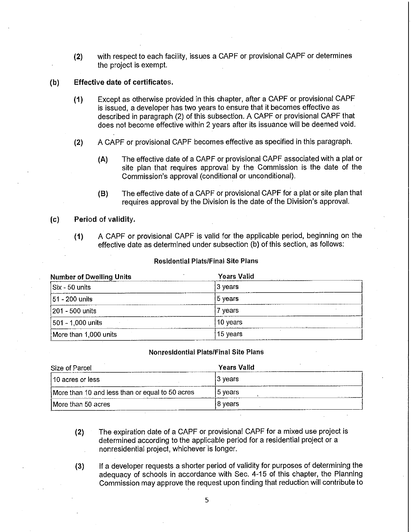**(2)** with respect to each facility, issues a CAPF or provisional CAPF or determines the project is exempt.

## **(b) Effective date of certificates.**

- **(1)** Except as otherwise provided in this chapter, after a CAPF or provisional CAPF is issued, a developer has two years to ensure that it becomes effective as described in paragraph (2) of this subsection. A CAPF or provisional CAPF that does not become effective within 2 years after its issuance will be deemed void.
- **(2)** A CAPF or provisional CAPF becomes effective as specified in this paragraph.
	- **(A)** The effective date of a CAPF or provisional CAPF associated with a plat or site plan that requires approval by the Commission is the date of the Commission's approval (conditional or unconditional).
	- **(B)** The effective date of a CAPF or provisional CAPF for a plat or site plan that requires approval by the Division is the date of the Division's approval.

# **(c) Period of validity.**

**(1)** A CAPF or provisional CAPF is valid for the applicable period, beginning on the effective date as determined under subsection (b) of this section, as follows:

#### Residential Plats/Final Site Plans

| <b>Number of Dwelling Units</b> | <b>Years Valid</b> |
|---------------------------------|--------------------|
| Six - 50 units                  | 3 years            |
| $ 51 - 200$ units               | $15$ years         |
| 1201 - 500 units                | 7 years            |
| 501 - 1,000 units               | ⊺10 years          |
| More than 1,000 units           | 15 years           |

# **Nonresidential Plats/Final Site Plans**

| Size of Parcel                                                                                                                             | Years Valid                                                                                      |
|--------------------------------------------------------------------------------------------------------------------------------------------|--------------------------------------------------------------------------------------------------|
| 110 acres or less                                                                                                                          | 13 vears                                                                                         |
| More than 10 and less than or equal to 50 acres<br><b>ALCOHOL: AND ARRESTS</b><br>The contract of the contract of the contract of the con- | l5 vears<br>the state of the Company<br>A STATISTIC MAIN A.M.<br><u>na manang manang mga Ban</u> |
| More than 50 acres                                                                                                                         | l8 vears                                                                                         |

- **(2)** The expiration date of a CAPF or provisional CAPF for a mixed use project is determined according to the applicable period for a residential project or a nonresidential project, whichever is longer.
- (3) If a developer requests a shorter period of validity for purposes of determining the adequacy of schools in accordance with Sec. 4-15 of this chapter, the Planning Commission may approve the request upon finding that reduction will contribute to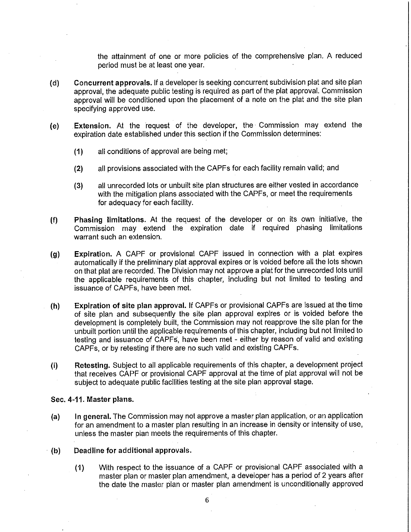the attainment of one or more policies of the comprehensive plan. A reduced period must be at least one year.

- (d) **Concurrent approvals.** If a developer is seeking concurrent subdivision plat and site plan approval, the adequate public testing is required as part of the plat approval. Commission approval will be conditioned upon the placement of a note on the plat and the site plan specifying approved use.
- **(e) Extension.** At the request of the developer, the· Commission may extend the expiration date established under this section if the Commission determines:
	- **(1)** all conditions of approval are being met;
	- **(2)** all provisions associated with the CAPFs for each facility remain valid; and
	- **(3)** all unrecorded lots or unbuilt site plan structures are either vested in accordance with the mitigation plans associated with the CAPFs, or meet the requirements for adequacy for each facility.
- (f) **Phasing limitations.** At the request of the developer or on its own initiative, the Commission may extend the expiration date if required phasing limitations warrant such an extension.
- **(g) Expiration.** A CAPF or provisional CAPF issued in connection with a plat expires automatically if the preliminary plat approval expires or is voided before all the lots shown on that plat are recorded. The Division may not approve a plat for the unrecorded lots until the applicable requirements of this chapter, including but not limited to testing and issuance of CAPFs, have been met.
- **(h) Expiration of site plan approval.** If CAPFs or provisional CAPFs are issued at the time of site plan and subsequently the site plan approval expires or is voided before the development is completely built, the Commission may not reapprove the site plan for the unbuilt portion until the applicable requirements of this chapter, including but not limited to testing and issuance of CAPFs, have been met - either by reason of valid and existing CAPFs, or by retesting if there are no such valid and existing CAPFs.
- (i) **Retesting.** Subject to all applicable requirements of this chapter, a development project that receives CAPF or provisional CAPF approval at the time of plat approval will not be subject to adequate public facilities testing at the site plan approval stage.

#### **Sec. 4-11. Master plans.**

- **(a) In general.** The Commission may not approve a master plan application, or an application for an amendment to a master plan resulting in an increase in density or intensity of use, unless the master plan meets the requirements of this chapter.
- **(b) Deadline for additional approvals.** 
	- **(1)** With respect to the issuance of a CAPF or provisional CAPF associated with a master plan or master plan amendment, a developer has a period of 2 years after the date the master plan or master plan amendment is unconditionally approved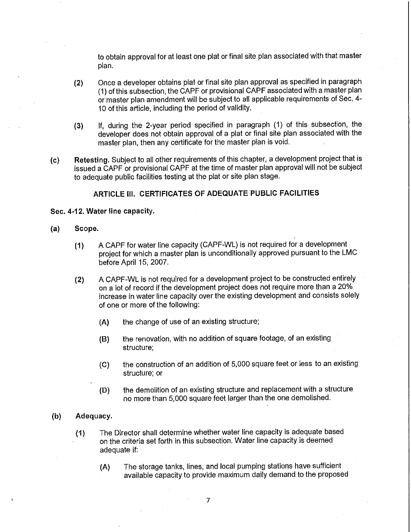to obtain approval for at least one plat or final site plan associated with that master plan.

- (2) Once a developer obtains plat or final site plan approval as specified in paragraph (1) of this subsection, the CAPF or provisional CAPF associated with a master plan or master plan amendment will be subject to all applicable requirements of Sec. 4- 10 of this article, including the period of validity.
- **(3)** If, during the 2-year period specified in paragraph (1) of this subsection, the developer does not obtain approval of a plat or final site plan associated with the master plan, then any certificate for the master plan is void.
- **(c) Retesting.** Subject to all other requirements of this chapter, a development project that is issued a CAPF or provisional CAPF at the time of master plan approval will not be subject to adequate public facilities testing at the plat or site plan stage.

# **ARTICLE Ill. CERTIFICATES OF ADEQUATE PUBLIC FACILITIES**

# **Sec. 4-12. Water line capacity.**

- **(a) Scope.** 
	- **(1)** A CAPF for water line capacity (CAPF-WL) is not required for a development project for which a master plan is unconditionally approved pursuant to the LMC before April 15, 2007.
	- **(2)** A CAPF-WL is not required for a development project to be constructed entirely on a lot of record if the development project does not require more than a 20% increase in water line capacity over the existing development and consists solely of one or more of the following:
		- (A) the change of use of an existing structure;
		- (8) the renovation, with no addition of square footage, of an existing structure;
		- (C) the construction of an addition of 5,000 square feet or less to an existing structure; or
		- (D) the demolition of an existing structure and replacement with a structure no more than 5,000 square feet larger than the one demolished.

#### **(b) Adequacy.**

- (1) The Director shall determine whether water line capacity is adequate based on the criteria set forth in this subsection. Water line capacity is deemed adequate if:
	- **(A)** The storage tanks, lines, and local pumping stations have sufficient available capacity to provide maximum daily demand to the proposed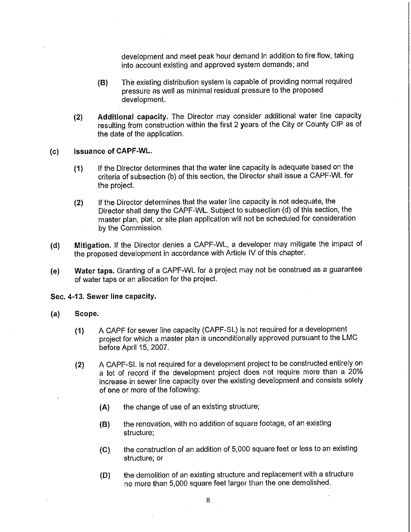development and meet peak hour demand in addition to fire flow, taking into account existing and approved system demands; and

- **(B)** The existing distribution system is capable of providing normal required pressure as well as minimal residual pressure to the proposed development.
- **(2) Additional capacity.** The Director may consider additional water line capacity resulting from construction within the first 2 years of the City or County GIP as of the date of the application.
- **(c) Issuance of CAPF-WL.** 
	- **(1)** If the Director determines that the water line capacity is adequate based on the criteria of subsection (b) of this section, the Director shall issue a CAPF-WL for the project.
	- **(2)** If the Director determines that the water line capacity is not adequate, the Director shall deny the CAPF-WL. Subject to subsection (d) of this section, the master plan, plat, or site plan application will not be scheduled for consideration by the Commission.
- **(d) Mitigation.** If the Director denies a CAPF-WL, a developer may mitigate the impact of the proposed development in accordance with Article IV of this chapter.
- **(e) Water taps.** Granting of a CAPF-WL for a project may not be construed as a guarantee of water taps or an allocation for the project.

## **Sec. 4-13. Sewer line capacity.**

- **(a) Scope.** 
	- **(1)** A CAPF for sewer line capacity (CAPF-SL) is not required for a development project for which a master plan is unconditionally approved pursuant to the LMC before April 15, 2007.
	- **(2)** A CAPF-SL is not required for a development project to be constructed entirely on a lot of record if the development project does not require more than a 20% increase in sewer line capacity over the existing development and consists solely of one or more of the following:
		- **(A)** the change of use of an existing structure;
		- **(B)** the renovation, with no addition of square footage, of an existing structure;
		- **(C)** the construction of an addition of 5,000 square feet or less to an existing structure; or
		- **(D)** the demolition of an existing structure and replacement with a structure no more than 5,000 square feet larger than the one demolished.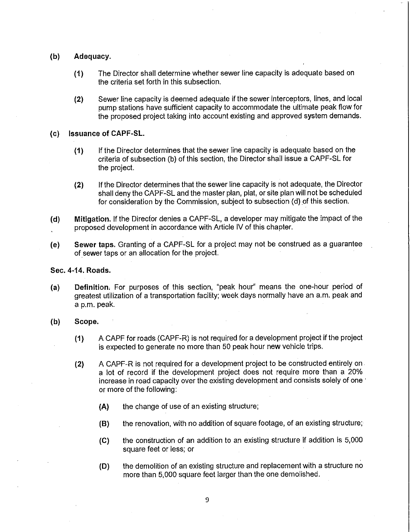- **(b) Adequacy.** 
	- **(1)** The Director shall determine whether sewer line capacity is adequate based on the criteria set forth in this subsection.
	- **(2)** Sewer line capacity is deemed adequate if the sewer interceptors, lines, and local pump stations have sufficient capacity to accommodate the ultimate peak flow for the proposed project taking into account existing and approved system demands.

#### **(c) Issuance of CAPF-SL.**

- **(1)** If the Director determines that the sewer line capacity is adequate based on the criteria of subsection (b) of this section, the Director shall issue a CAPF-SL for the project.
- **(2)** If the Director determines that the sewer line capacity is not adequate, the Director shall deny the CAPF-SL and the master plan, plat, or site plan will not be scheduled for consideration by the Commission, subject to subsection (d) of this section.
- **(d) Mitigation.** If the Director denies a CAPF-SL, a developer may mitigate the impact of the proposed development in accordance with Article IV of this chapter.
- **(e) Sewer taps.** Granting of a CAPF-SL for a project may not be construed as a guarantee of.sewer taps or an allocation for the project.

# **Sec. 4-14. Roads.**

- **(a) Definition;** For purposes of this section, "peak hour" means the one-hour period of greatest utilization of a transportation facility; week days normally have an a.m. peak and a p.m. peak.
- **(b) Scope.** 
	- **(1)** A CAPF for roads (CAPF-R) is not required for a development project if the project is expected to generate no more than 50 peak hour new vehicle trips.
	- **(2)** A CAPF-R is not required for a development project to be constructed entirely on. a lot of record if the development project does not require more than a 20% increase in road capacity over the existing development and consists solely of one ' or more of the following:
		- **(A)** the change of use of an existing structure;
		- **(B)** the renovation, with no addition of square footage, of an existing structure;
		- **(C)** the construction of an addition to an existing structure if addition is 5,000 square feet or less; or
		- **(D)** the demolition of an existing structure and replacement with a structure no more than 5,000 square feet larger than the one demolished.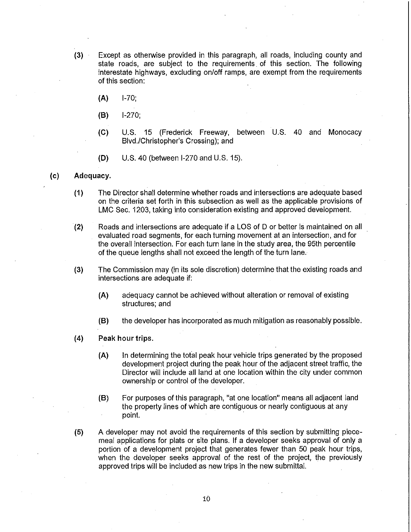- **(3)** Except as otherwise provided in this paragraph, all roads, including county and state roads, are subject to the requirements of this section. The following interestate highways, excluding on/off ramps, are exempt from the requirements of this section:
	- **(A)** 1-70;
	- **(8)** 1-270;
	- **(C)** U.S. 15 (Frederick Freeway, between U.S. 40 and Monocacy Blvd./Christopher's Crossing); and
	- **(D)** U.S. 40 (between 1-270 and U.S. 15).

#### **(c) Adequacy.**

- **(1)** The Director shall determine whether roads and intersections are adequate based on the criteria set forth in this subsection as well as the applicable provisions of LMC Sec. 1203, taking into consideration existing and approved development.
- **(2)** Roads and intersections are adequate if a LOS of D or better is maintained on all evaluated road segments, for each turning movement at an intersection, and for the overall intersection. For each turn lane in the study area, the 95th percentile of the queue lengths shall not exceed the length of the turn lane.
- **(3)** The Commission may (in its sole discretion) determine that the existing roads and intersections are adequate if:
	- **(A)** adequacy cannot be achieved without alteration or removal of existing structures; and
	- **(8)** the developer has incorporated as much mitigation as reasonably possible.
- **(4) Peak hour trips.** 
	- **(A)** In determining the total peak hour vehicle trips generated by the proposed development project during the peak hour of the adjacent street traffic, the Director will include all land at one location within the city under common ownership or control of the developer.
	- **(8)** For purposes of this paragraph, "at one location" means all adjacent land the property lines of which are contiguous or nearly contiguous at any point.
- (5) A developer may not avoid the requirements of this section by submitting piecemeal applications for plats or site plans. If a developer seeks approval of only a portion of a development project that generates fewer than 50 peak hour trips, when the developer seeks approval of the rest of the project, the previously approved trips will be included as new trips in the new submittal.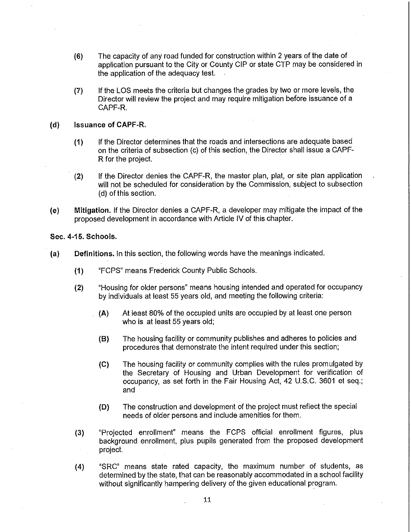- (6) The capacity of any road funded for construction within 2 years of the date of application pursuant to the City or County CIP or state CTP may be considered in the application of the adequacy test.
- (7) If the LOS meets the criteria but changes the grades by two or more levels, the Director will review the project and may require mitigation before issuance of a CAPF-R.

#### **(d) Issuance of CAPF-R.**

- **(1)** If the Director determines that the roads and intersections are adequate based on the criteria of subsection (c) of this section, the Director shall issue a CAPF-R for the project.
- **(2)** If the Director denies the CAPF-R, the master plan, plat, or site plan application will not be scheduled for consideration by the Commission, subject to subsection (d) of this section.
- **(e) Mitigation.** If the Director denies a CAPF-R, a developer may mitigate the impact of the proposed development in accordance with Article IV of this chapter.

**Sec. 4-15. Schools.** 

- **(a) Definitions.** In this section, the following words have the meanings indicated.
	- **(1)** "FCPS" means Frederick County Public Schools.
	- **(2)** "Housing for older persons" means housing intended and operated for occupancy by individuals at least 55 years old, and meeting the following criteria:
		- **(A)** At least 80% of the occupied units are occupied by at least one person who is at least 55 years old;
		- **(B)** The housing facility or community publishes and adheres to policies and procedures that demonstrate the intent required under this section;
		- **(C)** The housing facility or community complies with the rules promulgated by the Secretary of Housing and Urban Development for verification of occupancy, as set forth in the Fair Housing Act, 42 U.S.C. 3601 et seq.; and
		- **(D)** The construction and development of the project must reflect the special needs of older persons and include amenities for them.
	- **(3)** "Projected enrollment" means the FCPS official enrollment figures, plus background enrollment, plus pupils generated from the proposed development project.
	- (4) "SRC" means state rated capacity, the maximum number of students, as determined by the state, that can be reasonably accommodated in a school facility without significantly hampering delivery of the given educational program.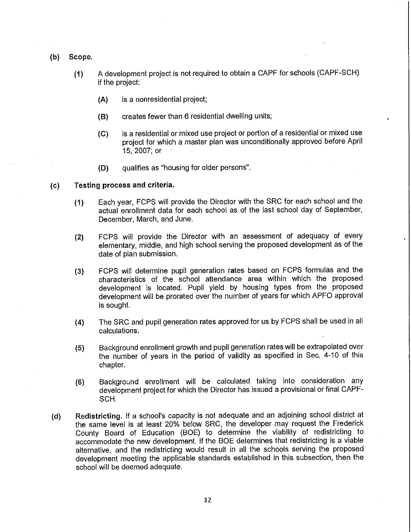- **(b) Scope.** 
	- **(1)** A development project is not required to obtain a CAPF for schools (CAPF-SCH) if the project:
		- **(A)** is a nonresidential project;
		- **(B)** creates fewer than 6 residential dwelling units;
		- **(C)** is a residential or mixed use project or portion of a residential or mixed use project for which a master plan was unconditionally approved before April 15, 2007; or
		- **(D)** qualifies as "housing for older persons".

#### **(c) Testing process and criteria.**

- **(1)** Each year, FCPS will provide the Director with the SRC for each school and the actual enrollment data for each school as of the last school day of September, December, March, and June.
- **(2)** FCPS will provide the Director with an assessment of adequacy of every elementary, middle, and high school serving the proposed development as of the date of plan submission.
- **(3)** FCPS will determine pupil generation rates based on FCPS formulas and the characteristics of the school attendance area within which the proposed development is located. Pupil yield by housing types from the proposed development will be prorated over the number of years for which APFO approval is sought.
- **(4)** The SRC and pupil generation rates approved for us by FCPS shall be used in all calculations.
- ( **5)** Background enrollment growth and pupil generation rates will be extrapolated over the number of years in the period of validity as specified in Sec. 4-10 of this chapter.
- **(6)** Background enrollment will be calculated taking into consideration any development project for which the Director has issued a provisional or final CAPF-SCH.
- **(d) Redistricting.** If a school's capacity is not adequate and an adjoining school district at the same level is at least 20% below SRC, the developer may request the Frederick County Board of Education (BOE) to determine the viability of redistricting to accommodate the new development. If the BOE determines that redistricting is a viable alternative, and the redistricting would result in all the schools serving the proposed development meeting the applicable standards established in this subsection, then the school will be deemed adequate.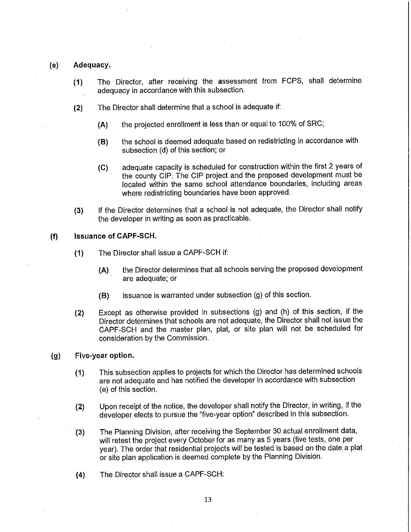# **(e) Adequacy.**

- **(1)** The Director, after receiving the assessment from FCPS, shall determine adequacy in accordance with this subsection.
- **(2)** The Director shall determine that a school is adequate if:
	- **(A)** the projected enrollment is less than or equal to 100% of SRC;
	- **(8)** the school is deemed adequate based on redistricting in accordance with subsection (d) of this section; or
	- **(C)** adequate capacity is scheduled for construction within the first 2 years of the county CIP. The CIP project and the proposed development must be located within the same school attendance boundaries, including areas where redistricting boundaries have been approved.
- **(3)** If the Director determines that a school is not adequate, the Director shall notify the developer in writing as soon as practicable.

# **(f) Issuance of CAPF-SCH.**

- ( **1)** The Director shall issue a CAPF-SCH if:
	- **(A)** the Director determines that all schools serving the proposed development are adequate; or
	- **(8)** issuance is warranted under subsection (g) of this section.
- **(2)** Except as otherwise provided in subsections (g) and (h) of this section, if the Director determines that schools are not adequate, the Director shall not issue the CAPF-SCH and the master plan, plat, or site plan will not be scheduled for consideration by the Commission.

# **(g) Five-year option.**

- **(1)** This subsection applies to projects for which the Director has determined schools are not adequate and has notified the developer in accordance with subsection (e) of this section.
- **(2)** Upon receipt of the notice, the developer shall notify the Director, in writing, if the developer elects to pursue the "five-year option" described in this subsection.
- **(3)** The Planning Division, after receiving the September 30 actual enrollment data, will retest the project every October for as many as 5 years (five tests, one per year). The order that residential projects **will** be tested is based on the date a plat or site plan application is deemed complete by the Planning Division.
- **(4)** The Director shall issue a CAPF-SCH: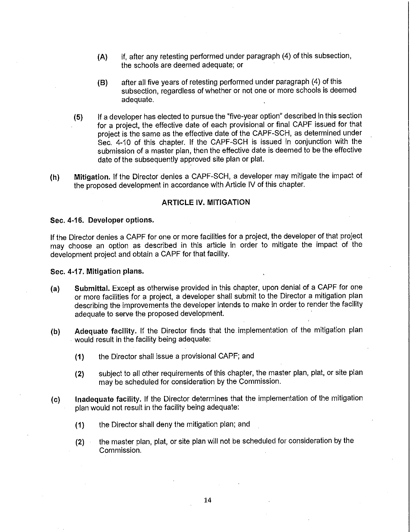- **(A)** if, after any retesting performed under paragraph (4) of this subsection, the schools are deemed adequate; or
- **(B)** after all five years of retesting performed under paragraph (4) of this subsection, regardless of whether or not one or more schools is deemed adequate.
- ( **5)** If a developer has elected to pursue the "five-year option" described in this section for a project, the effective date of each provisional or final CAPF issued for that project is the same as the effective date of the CAPF-SCH, as determined under Sec. 4-10 of this chapter. If the CAPF-SCH is issued in conjunction with the submission of a master plan, then the effective date is deemed to be the effective date of the subsequently approved site plan or plat.
- **(h) Mitigation.** If the Director denies a CAPF-SCH, a developer may mitigate the impact of the proposed development in accordance with Article IV of this chapter.

#### **ARTICLE IV. MITIGATION**

#### **Sec. 4-16. Developer options.**

If the Director denies a CAPF for one or more facilities for a project, the developer of that project may choose an option as described in this article in order to mitigate the impact of the development project and obtain a CAPF for that facility.

#### **Sec. 4-17. Mitigation plans.**

- **(a) Submittal.** Except as otherwise provided in this chapter, upon denial of a CAPF for one or more facilities for a project, a developer shall submit to the Director a mitigation plan describing the improvements the developer intends to make in order to render the facility adequate to serve the proposed development.
- **(b) Adequate facility.** If the Director finds that the implementation of the mitigation plan would result in the facility being adequate:
	- **(1)** the Director shall issue a provisional CAPF; and
	- **(2)** subject to all other requirements of this chapter, the master plan, plat, or site plan may be scheduled for consideration by the Commission.
- **(c) Inadequate facility.** If the Director determines that the implementation of the mitigation plan would not result in the facility being adequate:
	- **(1)** the Director shall deny the mitigation plan; and
	- **(2)** the master plan, plat, or site plan will not be scheduled for consideration by the Commission.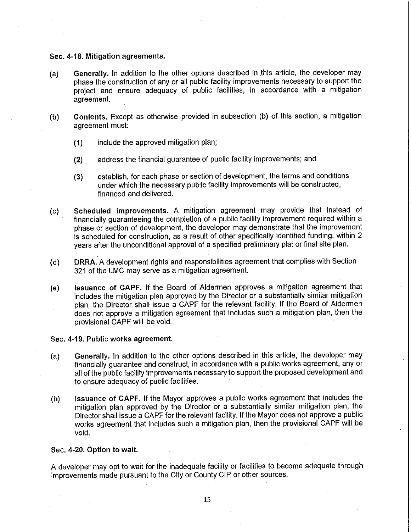#### **Sec. 4-18. Mitigation agreements.**

- (a) **Generally.** In addition to the other options described in .this article, the developer may phase the construction of any or all public facility improvements necessary to support the project and ensure adequacy of public facilities, in accordance with a mitigation agreement.
- **(b) Contents.** Except as otherwise provided in subsection (b) of this section, a mitigation agreement must:
	- **(1)** include the approved mitigation plan;
	- **(2)** address the financial guarantee of public facility improvements; and
	- **(3)** establish, for each phase or section of development, the terms and conditions under which the necessary public facility improvements will be constructed, financed and delivered.
- (c) Scheduled improvements. A mitigation agreement may provide that instead of financially guaranteeing the completion of a public facility improvement required within a phase or section of development, the developer may demonstrate that the improvement is scheduled for construction, as a result of other specifically identified funding, within 2 years after the unconditional approval of a specified preliminary plat or final site plan.
- (d) **DRRA.** A development rights and responsibilities agreement that complies with Section 321 of the LMC may serve as a mitigation agreement.
- (e) **Issuance of CAPF.** If the Board of Aldermen approves a mitigation agreement that includes the mitigation plan approved by the Director or a substantially similar mitigation plan, the Director shall issue a CAPF for the relevant facility. If the Board of Aldermen does not approve a mitigation agreement that includes such a mitigation plan, then the provisional CAPF will be void.

#### **Sec. 4-19. Public works agreement.**

- **(a) Generally.** In addition to the other options described in this article, the developer may financially guarantee and construct, in accordance with a public works agreement, any or all of the public facility improvements necessary to support the proposed development and to ensure adequacy of public facilities.
- (b) **Issuance of CAPF.** If the Mayor approves a public works agreement that includes the mitigation plan approved by the Director or a substantially similar mitigation plan, the Director shall issue a CAPF for the relevant facility. If the Mayor does not approve a public works agreement that includes such a mitigation plan, then the provisional CAPF **will** be void.

#### **Sec. 4-20. Option to wait.**

A developer may opt to wait for the inadequate facility or facilities to become adequate through improvements made pursuant to the City or County CIP or other sources.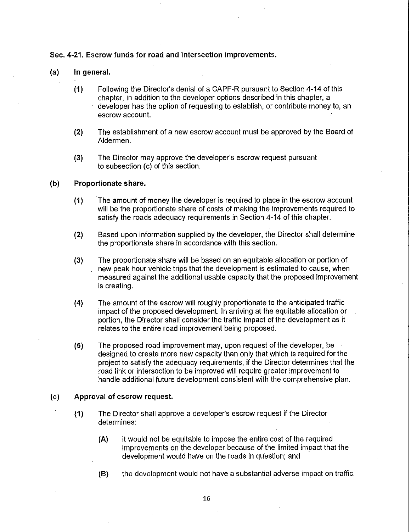# **Sec. 4-21. Escrow funds for road and intersection improvements.**

- **(a) In general.** 
	- **(1)** Following the Director's denial of a CAPF-R pursuant to Section 4-14 of this chapter, in addition to the developer options described in this chapter, a developer has the option of requesting to establish, or contribute money to, an escrow account.
	- **(2)** The establishment of a new escrow account must be approved by the Board of Aldermen.
	- **(3)** The Director may approve the developer's escrow request pursuant to subsection (c) of this section.

#### (b) **Proportionate share.**

- **(1)** The amount of money the developer is required to place in the escrow account will be the proportionate share of costs of making the improvements required to satisfy the roads adequacy requirements in Section 4-14 of this chapter.
- **(2)** Based upon information supplied by the developer, the Director shall determine the proportionate share in accordance with this section.
- (3) The proportionate share will be based on an equitable allocation or portion of new peak hour vehicle trips that the development is estimated to cause, when measured against the additional usable capacity that the proposed improvement is creating.
- (4) The amount of the escrow will roughly proportionate to the anticipated traffic impact of the proposed development. In arriving at the equitable allocation or portion, the Director shall consider the traffic impact of the development as it relates to the entire road improvement being proposed.
- (5) The proposed road improvement may, upon request of the developer, be designed to create more new capacity than only that which is required for the project to satisfy the adequacy requirements, if the Director determines that the road link or intersection to be improved will require greater improvement to handle additional future development consistent with the comprehensive plan.

# **(c) Approval of escrow request.**

- **(1)** The Director shall approve a developer's escrow request if the Director determines:
	- **(A)** ii would not be equitable to impose the entire cost of the required improvements on the developer because of the limited impact that the development would have on the roads in question; and
	- (B) the development would not have a substantial adverse impact on traffic.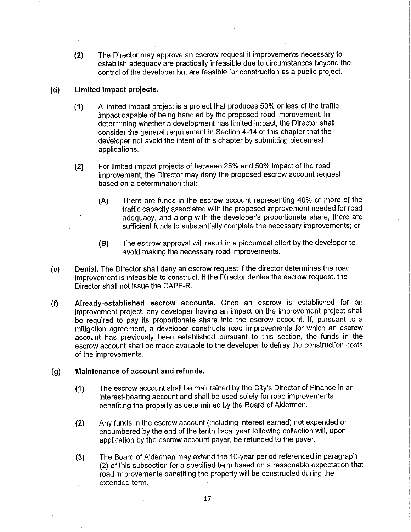**(2)** The Director may approve an escrow request if improvements necessary to establish adequacy are practically infeasible due to circumstances beyond the control of the developer but are feasible for construction as a public project.

# **(d) Limited impact projects.**

- **(1)** A limited impact project is a project that produces 50% or less of the traffic impact capable of being handled by the proposed road improvement. In determining whether a development has limited impact, the Director shall consider the general requirement in Section 4-14 of this chapter that the developer not avoid the intent of this chapter by submitting piecemeal applications.
- (2) For limited impact projects of between 25% and 50% impact of the road improvement, the Director may deny the proposed escrow account request based on a determination that:
	- (A) There are funds in the escrow account representing 40% or more of the traffic capacity associated with the proposed improvement needed for road adequacy, and along with the developer's proportionate share, there are sufficient funds to substantially complete the necessary improvements; or
	- (B) The escrow approval will result in a piecemeal effort by the developer to avoid making the necessary road improvements.
- **(e) Denial.** The Director shall deny an escrow request if the director determines the road improvement is infeasible to construct. If the Director denies the escrow request, the Director shall not issue the CAPF-R.
- **(f) Already-established escrow accounts.** Once an escrow is established for an improvement project, any developer having an impact on the improvement project shall be required to pay its proportionate share into the escrow account. If, pursuant to a mitigation agreement, a developer constructs road improvements for which an escrow account has previously been established pursuant to this section, the funds in the escrow account shall be made available to the developer to defray the construction costs of the improvements.

# **(g) Maintenance of account and refunds.**

- **(1)** The escrow account shall be maintained by the City's Director of Finance in an interest-bearing account and shall be used solely for road improvements benefiting the property as determined by the Board of Aldermen.
- **(2)** Any funds in the escrow account (including interest earned) not expended or encumbered by the end of the tenth fiscal year following collection will, upon application by the escrow account payer, be refunded to the payer.
- (3) The Board of Aldermen may extend the 10-year period referenced in paragraph (2) of this subsection for a specified term based on a reasonable expectation that road improvements benefiting the property will be constructed during the extended term.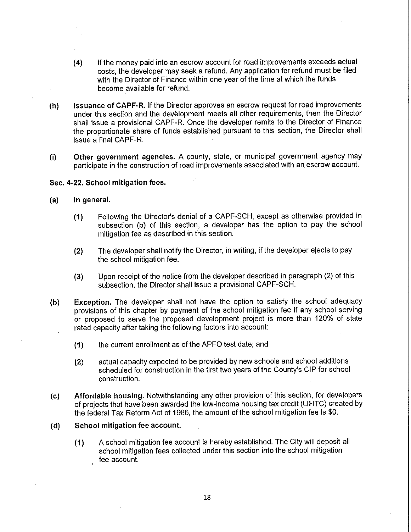- **(4)** If the money paid into an escrow account for road improvements exceeds actual costs, the developer may seek a refund. Any application for refund must be filed with the Director of Finance within one year of the time at which the funds become available for refund.
- **(h) Issuance of CAPF-R.** If the Director approves an escrow request for road improvements under this section and the development meets all other requirements, then the Director shall issue a provisional CAPF-R. Once the developer remits to the Director of Finance the proportionate share of funds established pursuant to this section, the Director shall issue a final CAPF-R.
- (i) **Other government agencies. A** county, state, or municipal government agency may participate in the construction of road improvements associated with an escrow account.

# **Sec. 4-22. School mitigation fees.**

# **(a) In general.**

- **(1)** Following the Director's denial of a CAPF-SCH, except as otherwise provided in subsection (b) of this section, a developer has the option to pay the school mitigation fee as described in this section.
- **(2)** The developer shall notify the Director, in writing, if the developer ejects to pay the school mitigation fee.
- **(3)** Upon receipt of the notice from the developer described in paragraph (2) of this subsection, the Director shall issue a provisional CAPF-SCH.
- **(b) Exception.** The developer shall not have the option to satisfy the school adequacy provisions of this chapter by payment of the school mitigation fee if any school serving or proposed to serve the proposed development project is more than 120% of state rated capacity after taking the following factors into account:
	- **(1)** the current enrollment as of the APFO test date; and
	- **(2)** actual capacity expected to be provided by new schools and school additions scheduled for construction in the first two years of the County's GIP for school construction.
- **(c) Affordable housing.** Notwithstanding any other provision of this section, for developers of projects that have been awarded the low-income housing tax credit (LIHTC) created by the federal Tax Reform Act of 1986, the amount of the school mitigation fee is \$0.
- **(d) School mitigation fee account.** 
	- **(1)** A school mitigation fee account is hereby established. The City will deposit all school mitigation fees collected under this section into the school mitigation fee account.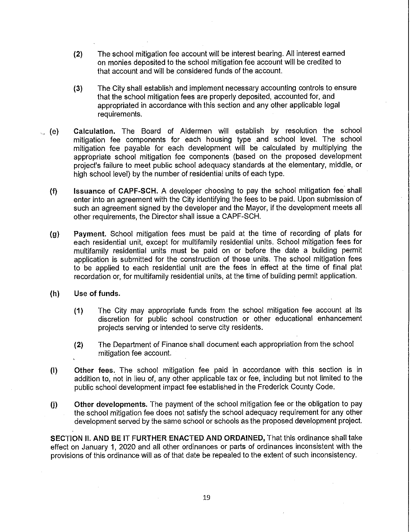- **(2)** The school mitigation fee account will be interest bearing. All interest earned on monies deposited to the school mitigation fee account will be credited to that account and will be considered funds of the account.
- **(3)** The City shall establish and implement necessary accounting controls to ensure that the school mitigation fees are properly deposited, accounted for, and appropriated in accordance with this section and any other applicable legal requirements .
- .. **(e) Calculation.** The Board of Aldermen will establish by resolution the school mitigation fee components for each housing type and school level. The school mitigation fee payable for each development will be calculated by multiplying the appropriate school mitigation fee components (based on the proposed development project's failure to meet public school adequacy standards at the elementary, middle, or high school level) by the number of residential units of each type.
	- **(f) Issuance of CAPF-SCH.** A developer choosing to pay the school mitigation fee shall enter into an agreement with the City identifying the fees to be paid. Upon submission of such an agreement signed by the developer and the Mayor, if the development meets all other requirements, the Director shall issue a CAPF-SCH.
	- **(g) Payment.** School mitigation fees must be paid at the time of recording of plats for each residential unit, except for multifamily residential units. School mitigation fees for multifamily residential units must be paid on or before the date a building permit application is submitted for the construction of those units. The school mitigation fees to be applied to each residential unit are the fees in effect at the time of final plat recordation or, for multifamily residential units, at the time of building permit application.
	- **(h) Use of funds.** 
		- **(1)** The City may appropriate funds from the school mitigation fee account at its discretion for public school construction or other educational enhancement projects serving or intended to serve city residents.
		- **(2)** The Department of Finance shall document each appropriation from the school mitigation fee account.
	- **(I) Other fees.** The school mitigation fee paid in accordance with this section is in addition to, not in lieu of, any other applicable tax or fee, including but not limited to the public school development impact fee established in the Frederick County Code.
	- **(j) Other developments.** The payment of the school mitigation fee or the obligation to pay the school mitigation fee does not satisfy the school adequacy requirement for any other development served by the same school or schools as the proposed development project.

**SECTION II. AND BE IT FURTHER ENACTED AND ORDAINED,** That this ordinance shall take effect on January 1, 2020 and all other ordinances or parts of ordinances inconsistent with the provisions of this ordinance will as of that date be repealed to the extent of such inconsistency.